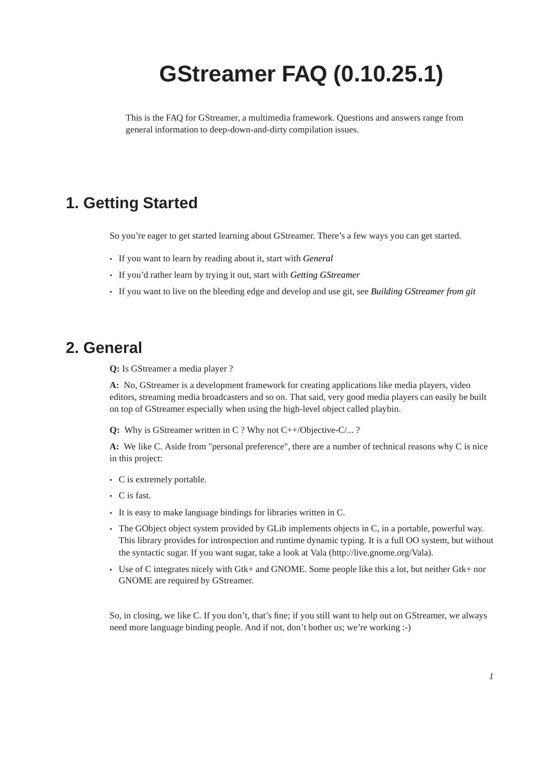# **GStreamer FAQ (0.10.25.1)**

This is the FAQ for GStreamer, a multimedia framework. Questions and answers range from general information to deep-down-and-dirty compilation issues.

## **1. Getting Started**

So you're eager to get started learning about GStreamer. There's a few ways you can get started.

- If you want to learn by reading about it, start with *General*
- If you'd rather learn by trying it out, start with *Getting GStreamer*
- If you want to live on the bleeding edge and develop and use git, see *Building GStreamer from git*

### **2. General**

**Q:** Is GStreamer a media player ?

**A:** No, GStreamer is a development framework for creating applications like media players, video editors, streaming media broadcasters and so on. That said, very good media players can easily be built on top of GStreamer especially when using the high-level object called playbin.

**Q:** Why is GStreamer written in C ? Why not C++/Objective-C/... ?

**A:** We like C. Aside from "personal preference", there are a number of technical reasons why C is nice in this project:

- C is extremely portable.
- C is fast.
- It is easy to make language bindings for libraries written in C.
- The GObject object system provided by GLib implements objects in C, in a portable, powerful way. This library provides for introspection and runtime dynamic typing. It is a full OO system, but without the syntactic sugar. If you want sugar, take a look at Vala (http://live.gnome.org/Vala).
- Use of C integrates nicely with Gtk+ and GNOME. Some people like this a lot, but neither Gtk+ nor GNOME are required by GStreamer.

So, in closing, we like C. If you don't, that's fine; if you still want to help out on GStreamer, we always need more language binding people. And if not, don't bother us; we're working :-)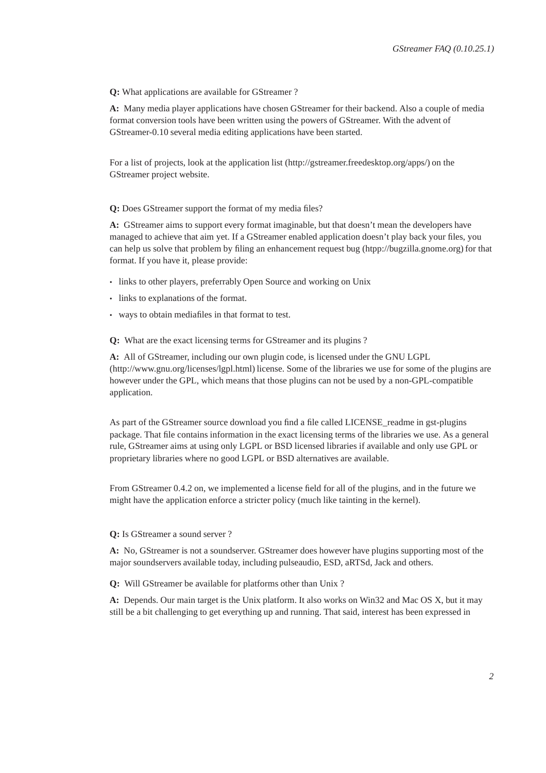#### **Q:** What applications are available for GStreamer ?

**A:** Many media player applications have chosen GStreamer for their backend. Also a couple of media format conversion tools have been written using the powers of GStreamer. With the advent of GStreamer-0.10 several media editing applications have been started.

For a list of projects, look at the application list (http://gstreamer.freedesktop.org/apps/) on the GStreamer project website.

#### **Q:** Does GStreamer support the format of my media files?

**A:** GStreamer aims to support every format imaginable, but that doesn't mean the developers have managed to achieve that aim yet. If a GStreamer enabled application doesn't play back your files, you can help us solve that problem by filing an enhancement request bug (htpp://bugzilla.gnome.org) for that format. If you have it, please provide:

- links to other players, preferrably Open Source and working on Unix
- links to explanations of the format.
- ways to obtain mediafiles in that format to test.

### **Q:** What are the exact licensing terms for GStreamer and its plugins ?

**A:** All of GStreamer, including our own plugin code, is licensed under the GNU LGPL (http://www.gnu.org/licenses/lgpl.html) license. Some of the libraries we use for some of the plugins are however under the GPL, which means that those plugins can not be used by a non-GPL-compatible application.

As part of the GStreamer source download you find a file called LICENSE\_readme in gst-plugins package. That file contains information in the exact licensing terms of the libraries we use. As a general rule, GStreamer aims at using only LGPL or BSD licensed libraries if available and only use GPL or proprietary libraries where no good LGPL or BSD alternatives are available.

From GStreamer 0.4.2 on, we implemented a license field for all of the plugins, and in the future we might have the application enforce a stricter policy (much like tainting in the kernel).

#### **Q:** Is GStreamer a sound server ?

**A:** No, GStreamer is not a soundserver. GStreamer does however have plugins supporting most of the major soundservers available today, including pulseaudio, ESD, aRTSd, Jack and others.

**Q:** Will GStreamer be available for platforms other than Unix ?

**A:** Depends. Our main target is the Unix platform. It also works on Win32 and Mac OS X, but it may still be a bit challenging to get everything up and running. That said, interest has been expressed in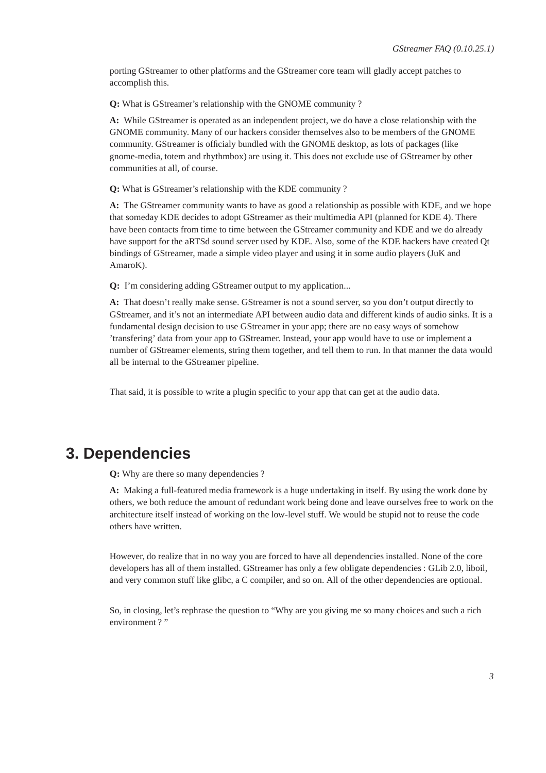porting GStreamer to other platforms and the GStreamer core team will gladly accept patches to accomplish this.

**Q:** What is GStreamer's relationship with the GNOME community ?

**A:** While GStreamer is operated as an independent project, we do have a close relationship with the GNOME community. Many of our hackers consider themselves also to be members of the GNOME community. GStreamer is officialy bundled with the GNOME desktop, as lots of packages (like gnome-media, totem and rhythmbox) are using it. This does not exclude use of GStreamer by other communities at all, of course.

**Q:** What is GStreamer's relationship with the KDE community ?

**A:** The GStreamer community wants to have as good a relationship as possible with KDE, and we hope that someday KDE decides to adopt GStreamer as their multimedia API (planned for KDE 4). There have been contacts from time to time between the GStreamer community and KDE and we do already have support for the aRTSd sound server used by KDE. Also, some of the KDE hackers have created Qt bindings of GStreamer, made a simple video player and using it in some audio players (JuK and AmaroK).

**Q:** I'm considering adding GStreamer output to my application...

**A:** That doesn't really make sense. GStreamer is not a sound server, so you don't output directly to GStreamer, and it's not an intermediate API between audio data and different kinds of audio sinks. It is a fundamental design decision to use GStreamer in your app; there are no easy ways of somehow 'transfering' data from your app to GStreamer. Instead, your app would have to use or implement a number of GStreamer elements, string them together, and tell them to run. In that manner the data would all be internal to the GStreamer pipeline.

That said, it is possible to write a plugin specific to your app that can get at the audio data.

### **3. Dependencies**

**Q:** Why are there so many dependencies ?

**A:** Making a full-featured media framework is a huge undertaking in itself. By using the work done by others, we both reduce the amount of redundant work being done and leave ourselves free to work on the architecture itself instead of working on the low-level stuff. We would be stupid not to reuse the code others have written.

However, do realize that in no way you are forced to have all dependencies installed. None of the core developers has all of them installed. GStreamer has only a few obligate dependencies : GLib 2.0, liboil, and very common stuff like glibc, a C compiler, and so on. All of the other dependencies are optional.

So, in closing, let's rephrase the question to "Why are you giving me so many choices and such a rich environment ?"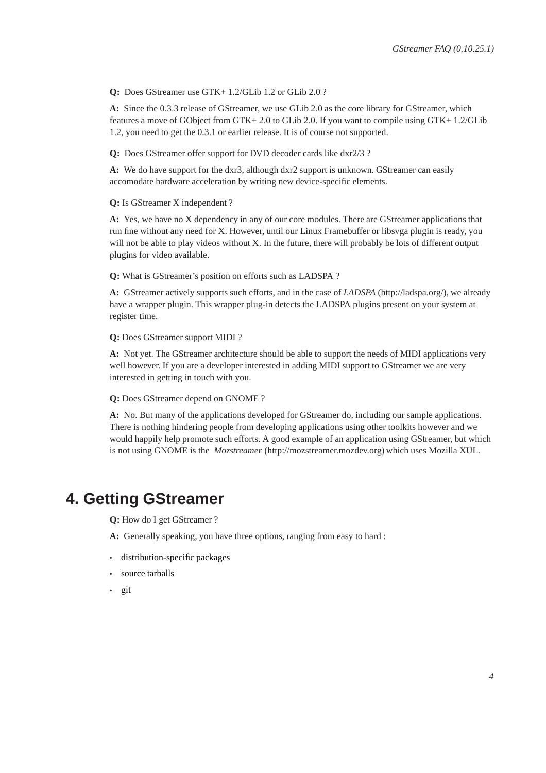**Q:** Does GStreamer use GTK+ 1.2/GLib 1.2 or GLib 2.0 ?

**A:** Since the 0.3.3 release of GStreamer, we use GLib 2.0 as the core library for GStreamer, which features a move of GObject from GTK+ 2.0 to GLib 2.0. If you want to compile using GTK+ 1.2/GLib 1.2, you need to get the 0.3.1 or earlier release. It is of course not supported.

**Q:** Does GStreamer offer support for DVD decoder cards like dxr2/3 ?

**A:** We do have support for the dxr3, although dxr2 support is unknown. GStreamer can easily accomodate hardware acceleration by writing new device-specific elements.

#### **Q:** Is GStreamer X independent ?

**A:** Yes, we have no X dependency in any of our core modules. There are GStreamer applications that run fine without any need for X. However, until our Linux Framebuffer or libsvga plugin is ready, you will not be able to play videos without X. In the future, there will probably be lots of different output plugins for video available.

**Q:** What is GStreamer's position on efforts such as LADSPA ?

**A:** GStreamer actively supports such efforts, and in the case of *LADSPA* (http://ladspa.org/), we already have a wrapper plugin. This wrapper plug-in detects the LADSPA plugins present on your system at register time.

**Q:** Does GStreamer support MIDI ?

**A:** Not yet. The GStreamer architecture should be able to support the needs of MIDI applications very well however. If you are a developer interested in adding MIDI support to GStreamer we are very interested in getting in touch with you.

**Q:** Does GStreamer depend on GNOME ?

**A:** No. But many of the applications developed for GStreamer do, including our sample applications. There is nothing hindering people from developing applications using other toolkits however and we would happily help promote such efforts. A good example of an application using GStreamer, but which is not using GNOME is the *Mozstreamer* (http://mozstreamer.mozdev.org) which uses Mozilla XUL.

### <span id="page-3-0"></span>**4. Getting GStreamer**

**Q:** How do I get GStreamer ?

**A:** Generally speaking, you have three options, ranging from easy to hard :

- [distribution-specific packages](#page-4-0)
- [source tarballs](#page-4-1)
- [git](#page-4-0)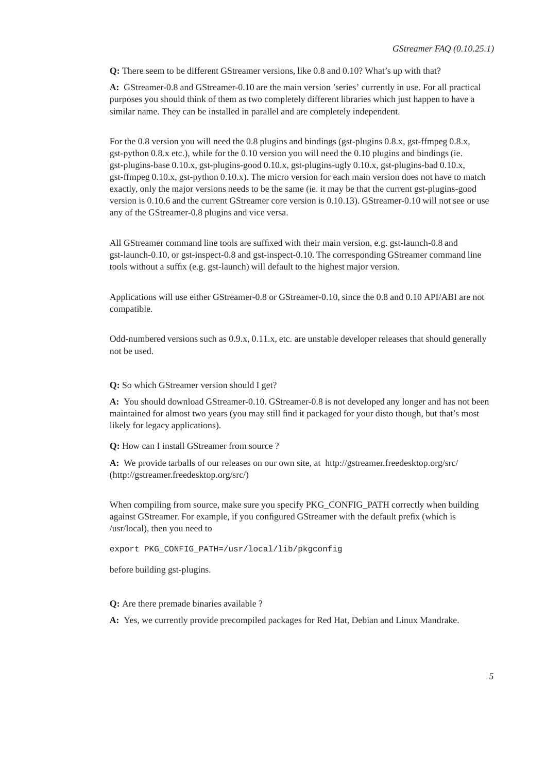**Q:** There seem to be different GStreamer versions, like 0.8 and 0.10? What's up with that?

**A:** GStreamer-0.8 and GStreamer-0.10 are the main version 'series' currently in use. For all practical purposes you should think of them as two completely different libraries which just happen to have a similar name. They can be installed in parallel and are completely independent.

For the 0.8 version you will need the 0.8 plugins and bindings (gst-plugins 0.8.x, gst-ffmpeg 0.8.x, gst-python 0.8.x etc.), while for the 0.10 version you will need the 0.10 plugins and bindings (ie. gst-plugins-base 0.10.x, gst-plugins-good 0.10.x, gst-plugins-ugly 0.10.x, gst-plugins-bad 0.10.x, gst-ffmpeg 0.10.x, gst-python 0.10.x). The micro version for each main version does not have to match exactly, only the major versions needs to be the same (ie. it may be that the current gst-plugins-good version is 0.10.6 and the current GStreamer core version is 0.10.13). GStreamer-0.10 will not see or use any of the GStreamer-0.8 plugins and vice versa.

All GStreamer command line tools are suffixed with their main version, e.g. gst-launch-0.8 and gst-launch-0.10, or gst-inspect-0.8 and gst-inspect-0.10. The corresponding GStreamer command line tools without a suffix (e.g. gst-launch) will default to the highest major version.

Applications will use either GStreamer-0.8 or GStreamer-0.10, since the 0.8 and 0.10 API/ABI are not compatible.

Odd-numbered versions such as 0.9.x, 0.11.x, etc. are unstable developer releases that should generally not be used.

#### **Q:** So which GStreamer version should I get?

**A:** You should download GStreamer-0.10. GStreamer-0.8 is not developed any longer and has not been maintained for almost two years (you may still find it packaged for your disto though, but that's most likely for legacy applications).

<span id="page-4-1"></span>**Q:** How can I install GStreamer from source ?

**A:** We provide tarballs of our releases on our own site, at http://gstreamer.freedesktop.org/src/ (http://gstreamer.freedesktop.org/src/)

When compiling from source, make sure you specify PKG\_CONFIG\_PATH correctly when building against GStreamer. For example, if you configured GStreamer with the default prefix (which is /usr/local), then you need to

export PKG\_CONFIG\_PATH=/usr/local/lib/pkgconfig

<span id="page-4-0"></span>before building gst-plugins.

**Q:** Are there premade binaries available ?

**A:** Yes, we currently provide precompiled packages for Red Hat, Debian and Linux Mandrake.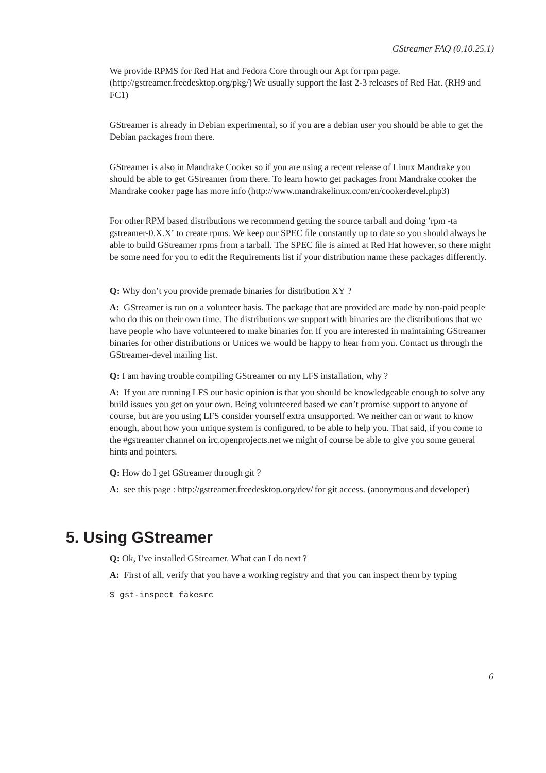We provide RPMS for Red Hat and Fedora Core through our Apt for rpm page. (http://gstreamer.freedesktop.org/pkg/) We usually support the last 2-3 releases of Red Hat. (RH9 and FC1)

GStreamer is already in Debian experimental, so if you are a debian user you should be able to get the Debian packages from there.

GStreamer is also in Mandrake Cooker so if you are using a recent release of Linux Mandrake you should be able to get GStreamer from there. To learn howto get packages from Mandrake cooker the Mandrake cooker page has more info (http://www.mandrakelinux.com/en/cookerdevel.php3)

For other RPM based distributions we recommend getting the source tarball and doing 'rpm -ta gstreamer-0.X.X' to create rpms. We keep our SPEC file constantly up to date so you should always be able to build GStreamer rpms from a tarball. The SPEC file is aimed at Red Hat however, so there might be some need for you to edit the Requirements list if your distribution name these packages differently.

**Q:** Why don't you provide premade binaries for distribution XY ?

**A:** GStreamer is run on a volunteer basis. The package that are provided are made by non-paid people who do this on their own time. The distributions we support with binaries are the distributions that we have people who have volunteered to make binaries for. If you are interested in maintaining GStreamer binaries for other distributions or Unices we would be happy to hear from you. Contact us through the GStreamer-devel mailing list.

**Q:** I am having trouble compiling GStreamer on my LFS installation, why ?

A: If you are running LFS our basic opinion is that you should be knowledgeable enough to solve any build issues you get on your own. Being volunteered based we can't promise support to anyone of course, but are you using LFS consider yourself extra unsupported. We neither can or want to know enough, about how your unique system is configured, to be able to help you. That said, if you come to the #gstreamer channel on irc.openprojects.net we might of course be able to give you some general hints and pointers.

**Q:** How do I get GStreamer through git ?

**A:** see this page : http://gstreamer.freedesktop.org/dev/ for git access. (anonymous and developer)

# **5. Using GStreamer**

**Q:** Ok, I've installed GStreamer. What can I do next ?

**A:** First of all, verify that you have a working registry and that you can inspect them by typing

\$ gst-inspect fakesrc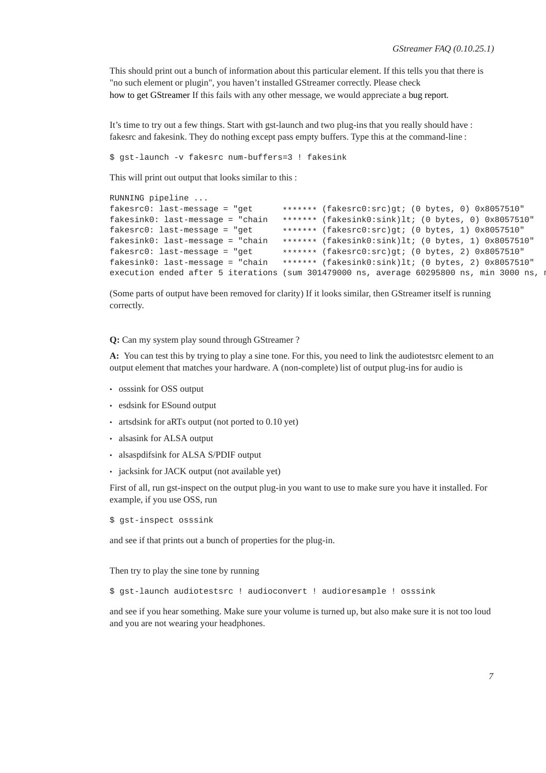This should print out a bunch of information about this particular element. If this tells you that there is "no such element or plugin", you haven't installed GStreamer correctly. Please check [how to get GStreamer](#page-3-0) If this fails with any other message, we would appreciate a [bug report.](#page-7-0)

It's time to try out a few things. Start with gst-launch and two plug-ins that you really should have : fakesrc and fakesink. They do nothing except pass empty buffers. Type this at the command-line :

\$ gst-launch -v fakesrc num-buffers=3 ! fakesink

This will print out output that looks similar to this :

```
RUNNING pipeline ...
fakesrc0: last-messace = "get ******* (fakesrc0:src)gt; (0 bytes, 0) 0x8057510"fakesink0: last-message = "chain ******* (fakesink0:sink)lt; (0 bytes, 0) 0x8057510"<br>fakesrc0: last-message = "get ******* (fakesrc0:src)gt; (0 bytes, 1) 0x8057510"
                                     ******* (fakesrc0: src)gt; (0 bytes, 1) 0x8057510"
fakesink0: last-message = "chain ******* (fakesink0:sink)lt; (0 bytes, 1) 0x8057510"
fakesrc0: last-message = "get ******* (fakesrc0:src)gt; (0 bytes, 2) 0x8057510"
fakesink0: last-message = "chain ******* (fakesink0:sink)lt; (0 bytes, 2) 0x8057510"
execution ended after 5 iterations (sum 301479000 ns, average 60295800 ns, min 3000 ns, m
```
(Some parts of output have been removed for clarity) If it looks similar, then GStreamer itself is running correctly.

**Q:** Can my system play sound through GStreamer ?

**A:** You can test this by trying to play a sine tone. For this, you need to link the audiotestsrc element to an output element that matches your hardware. A (non-complete) list of output plug-ins for audio is

- osssink for OSS output
- esdsink for ESound output
- artsdsink for aRTs output (not ported to 0.10 yet)
- alsasink for ALSA output
- alsaspdifsink for ALSA S/PDIF output
- jacksink for JACK output (not available yet)

First of all, run gst-inspect on the output plug-in you want to use to make sure you have it installed. For example, if you use OSS, run

\$ gst-inspect osssink

and see if that prints out a bunch of properties for the plug-in.

Then try to play the sine tone by running

\$ gst-launch audiotestsrc ! audioconvert ! audioresample ! osssink

and see if you hear something. Make sure your volume is turned up, but also make sure it is not too loud and you are not wearing your headphones.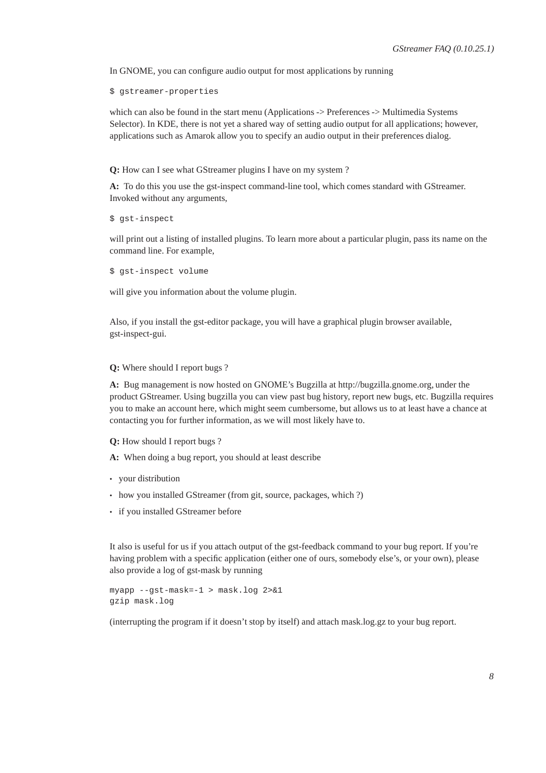In GNOME, you can configure audio output for most applications by running

\$ gstreamer-properties

which can also be found in the start menu (Applications -> Preferences -> Multimedia Systems Selector). In KDE, there is not yet a shared way of setting audio output for all applications; however, applications such as Amarok allow you to specify an audio output in their preferences dialog.

**Q:** How can I see what GStreamer plugins I have on my system ?

**A:** To do this you use the gst-inspect command-line tool, which comes standard with GStreamer. Invoked without any arguments,

\$ gst-inspect

will print out a listing of installed plugins. To learn more about a particular plugin, pass its name on the command line. For example,

\$ gst-inspect volume

will give you information about the volume plugin.

<span id="page-7-0"></span>Also, if you install the gst-editor package, you will have a graphical plugin browser available, gst-inspect-gui.

**Q:** Where should I report bugs ?

**A:** Bug management is now hosted on GNOME's Bugzilla at http://bugzilla.gnome.org, under the product GStreamer. Using bugzilla you can view past bug history, report new bugs, etc. Bugzilla requires you to make an account here, which might seem cumbersome, but allows us to at least have a chance at contacting you for further information, as we will most likely have to.

**Q:** How should I report bugs ?

**A:** When doing a bug report, you should at least describe

- your distribution
- how you installed GStreamer (from git, source, packages, which ?)
- if you installed GStreamer before

It also is useful for us if you attach output of the gst-feedback command to your bug report. If you're having problem with a specific application (either one of ours, somebody else's, or your own), please also provide a log of gst-mask by running

```
myapp --gst-mask=-1 > mask.log 2>&1
gzip mask.log
```
(interrupting the program if it doesn't stop by itself) and attach mask.log.gz to your bug report.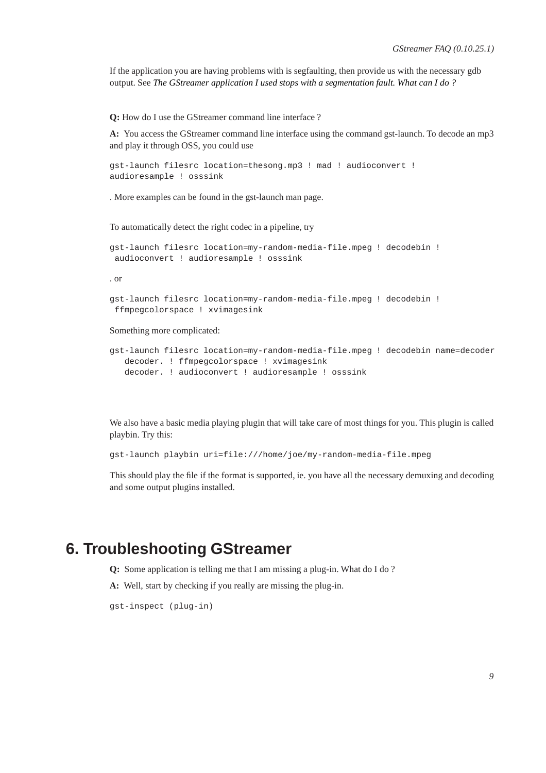If the application you are having problems with is segfaulting, then provide us with the necessary gdb output. See *[The GStreamer application I used stops with a segmentation fault. What can I do ?](#page-9-0)*

**Q:** How do I use the GStreamer command line interface ?

**A:** You access the GStreamer command line interface using the command gst-launch. To decode an mp3 and play it through OSS, you could use

```
gst-launch filesrc location=thesong.mp3 ! mad ! audioconvert !
audioresample ! osssink
```
. More examples can be found in the gst-launch man page.

To automatically detect the right codec in a pipeline, try

```
gst-launch filesrc location=my-random-media-file.mpeg ! decodebin !
audioconvert ! audioresample ! osssink
```
. or

```
gst-launch filesrc location=my-random-media-file.mpeg ! decodebin !
ffmpegcolorspace ! xvimagesink
```
Something more complicated:

```
gst-launch filesrc location=my-random-media-file.mpeg ! decodebin name=decoder
  decoder. ! ffmpegcolorspace ! xvimagesink
  decoder. ! audioconvert ! audioresample ! osssink
```
We also have a basic media playing plugin that will take care of most things for you. This plugin is called playbin. Try this:

gst-launch playbin uri=file:///home/joe/my-random-media-file.mpeg

This should play the file if the format is supported, ie. you have all the necessary demuxing and decoding and some output plugins installed.

### **6. Troubleshooting GStreamer**

- **Q:** Some application is telling me that I am missing a plug-in. What do I do ?
- **A:** Well, start by checking if you really are missing the plug-in.

gst-inspect (plug-in)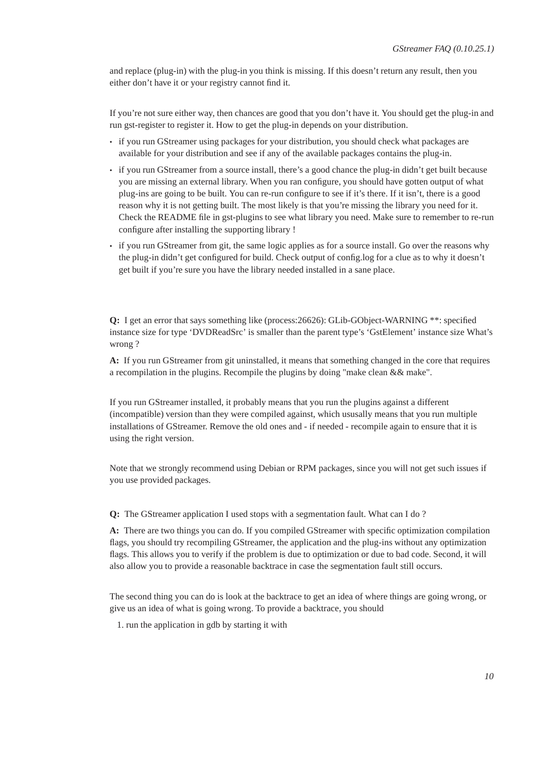and replace (plug-in) with the plug-in you think is missing. If this doesn't return any result, then you either don't have it or your registry cannot find it.

If you're not sure either way, then chances are good that you don't have it. You should get the plug-in and run gst-register to register it. How to get the plug-in depends on your distribution.

- if you run GStreamer using packages for your distribution, you should check what packages are available for your distribution and see if any of the available packages contains the plug-in.
- if you run GStreamer from a source install, there's a good chance the plug-in didn't get built because you are missing an external library. When you ran configure, you should have gotten output of what plug-ins are going to be built. You can re-run configure to see if it's there. If it isn't, there is a good reason why it is not getting built. The most likely is that you're missing the library you need for it. Check the README file in gst-plugins to see what library you need. Make sure to remember to re-run configure after installing the supporting library !
- if you run GStreamer from git, the same logic applies as for a source install. Go over the reasons why the plug-in didn't get configured for build. Check output of config.log for a clue as to why it doesn't get built if you're sure you have the library needed installed in a sane place.

**Q:** I get an error that says something like (process:26626): GLib-GObject-WARNING \*\*: specified instance size for type 'DVDReadSrc' is smaller than the parent type's 'GstElement' instance size What's wrong ?

**A:** If you run GStreamer from git uninstalled, it means that something changed in the core that requires a recompilation in the plugins. Recompile the plugins by doing "make clean && make".

If you run GStreamer installed, it probably means that you run the plugins against a different (incompatible) version than they were compiled against, which ususally means that you run multiple installations of GStreamer. Remove the old ones and - if needed - recompile again to ensure that it is using the right version.

<span id="page-9-0"></span>Note that we strongly recommend using Debian or RPM packages, since you will not get such issues if you use provided packages.

**Q:** The GStreamer application I used stops with a segmentation fault. What can I do ?

**A:** There are two things you can do. If you compiled GStreamer with specific optimization compilation flags, you should try recompiling GStreamer, the application and the plug-ins without any optimization flags. This allows you to verify if the problem is due to optimization or due to bad code. Second, it will also allow you to provide a reasonable backtrace in case the segmentation fault still occurs.

The second thing you can do is look at the backtrace to get an idea of where things are going wrong, or give us an idea of what is going wrong. To provide a backtrace, you should

1. run the application in gdb by starting it with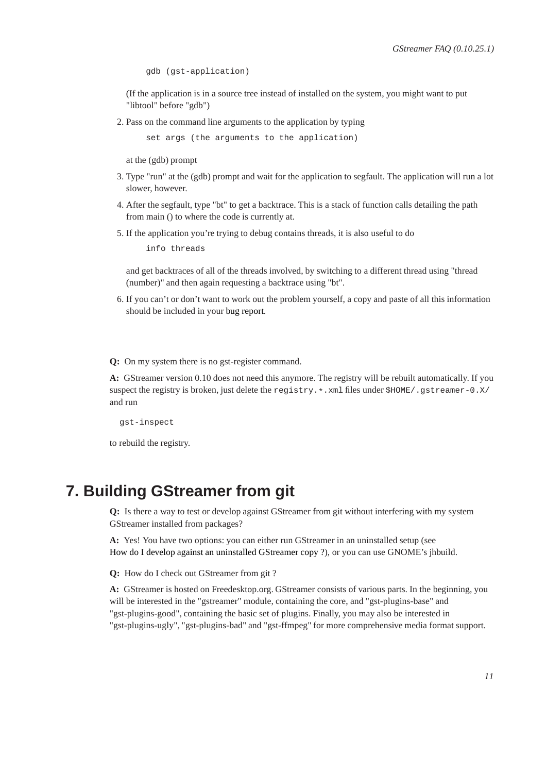gdb (gst-application)

(If the application is in a source tree instead of installed on the system, you might want to put "libtool" before "gdb")

2. Pass on the command line arguments to the application by typing

set args (the arguments to the application)

at the (gdb) prompt

- 3. Type "run" at the (gdb) prompt and wait for the application to segfault. The application will run a lot slower, however.
- 4. After the segfault, type "bt" to get a backtrace. This is a stack of function calls detailing the path from main () to where the code is currently at.
- 5. If the application you're trying to debug contains threads, it is also useful to do

info threads

and get backtraces of all of the threads involved, by switching to a different thread using "thread (number)" and then again requesting a backtrace using "bt".

6. If you can't or don't want to work out the problem yourself, a copy and paste of all this information should be included in your [bug report.](#page-7-0)

**Q:** On my system there is no gst-register command.

**A:** GStreamer version 0.10 does not need this anymore. The registry will be rebuilt automatically. If you suspect the registry is broken, just delete the registry.\*. xml files under \$HOME/.gstreamer-0.X/ and run

gst-inspect

to rebuild the registry.

### **7. Building GStreamer from git**

**Q:** Is there a way to test or develop against GStreamer from git without interfering with my system GStreamer installed from packages?

**A:** Yes! You have two options: you can either run GStreamer in an uninstalled setup (see [How do I develop against an uninstalled GStreamer copy ?\)](#page-13-0), or you can use GNOME's jhbuild.

**Q:** How do I check out GStreamer from git ?

**A:** GStreamer is hosted on Freedesktop.org. GStreamer consists of various parts. In the beginning, you will be interested in the "gstreamer" module, containing the core, and "gst-plugins-base" and "gst-plugins-good", containing the basic set of plugins. Finally, you may also be interested in "gst-plugins-ugly", "gst-plugins-bad" and "gst-ffmpeg" for more comprehensive media format support.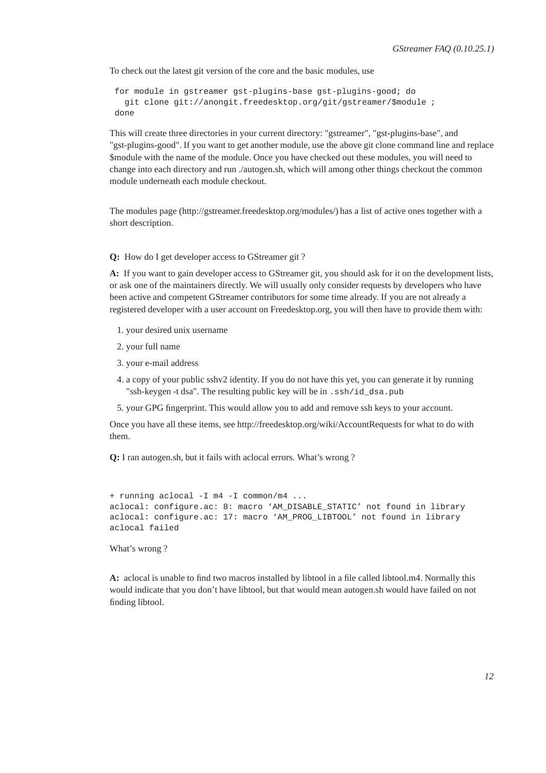To check out the latest git version of the core and the basic modules, use

```
for module in gstreamer gst-plugins-base gst-plugins-good; do
 git clone git://anongit.freedesktop.org/git/gstreamer/$module ;
done
```
This will create three directories in your current directory: "gstreamer", "gst-plugins-base", and "gst-plugins-good". If you want to get another module, use the above git clone command line and replace \$module with the name of the module. Once you have checked out these modules, you will need to change into each directory and run ./autogen.sh, which will among other things checkout the common module underneath each module checkout.

The modules page (http://gstreamer.freedesktop.org/modules/) has a list of active ones together with a short description.

**Q:** How do I get developer access to GStreamer git ?

**A:** If you want to gain developer access to GStreamer git, you should ask for it on the development lists, or ask one of the maintainers directly. We will usually only consider requests by developers who have been active and competent GStreamer contributors for some time already. If you are not already a registered developer with a user account on Freedesktop.org, you will then have to provide them with:

- 1. your desired unix username
- 2. your full name
- 3. your e-mail address
- 4. a copy of your public sshv2 identity. If you do not have this yet, you can generate it by running "ssh-keygen -t dsa". The resulting public key will be in .ssh/id\_dsa.pub
- 5. your GPG fingerprint. This would allow you to add and remove ssh keys to your account.

Once you have all these items, see http://freedesktop.org/wiki/AccountRequests for what to do with them.

**Q:** I ran autogen.sh, but it fails with aclocal errors. What's wrong ?

```
+ running aclocal -I m4 -I common/m4 ...
aclocal: configure.ac: 8: macro 'AM_DISABLE_STATIC' not found in library
aclocal: configure.ac: 17: macro 'AM_PROG_LIBTOOL' not found in library
aclocal failed
```
What's wrong ?

**A:** aclocal is unable to find two macros installed by libtool in a file called libtool.m4. Normally this would indicate that you don't have libtool, but that would mean autogen.sh would have failed on not finding libtool.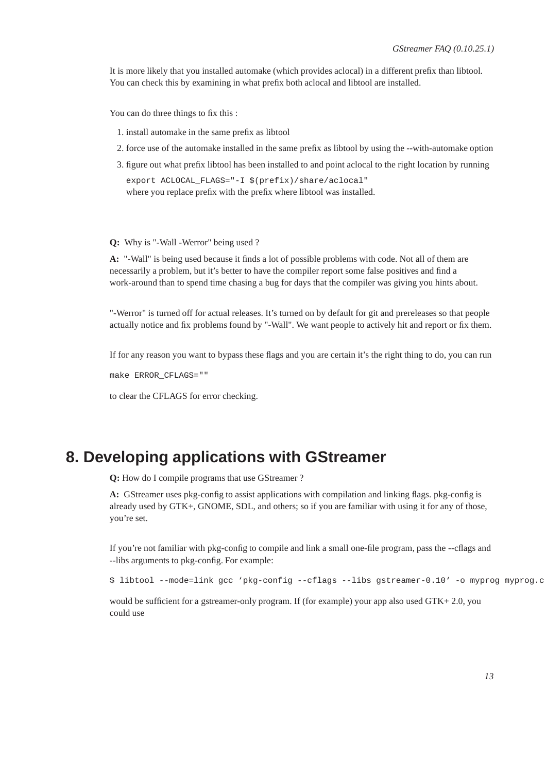It is more likely that you installed automake (which provides aclocal) in a different prefix than libtool. You can check this by examining in what prefix both aclocal and libtool are installed.

You can do three things to fix this :

- 1. install automake in the same prefix as libtool
- 2. force use of the automake installed in the same prefix as libtool by using the --with-automake option
- 3. figure out what prefix libtool has been installed to and point aclocal to the right location by running

export ACLOCAL\_FLAGS="-I \$(prefix)/share/aclocal" where you replace prefix with the prefix where libtool was installed.

**Q:** Why is "-Wall -Werror" being used ?

**A:** "-Wall" is being used because it finds a lot of possible problems with code. Not all of them are necessarily a problem, but it's better to have the compiler report some false positives and find a work-around than to spend time chasing a bug for days that the compiler was giving you hints about.

"-Werror" is turned off for actual releases. It's turned on by default for git and prereleases so that people actually notice and fix problems found by "-Wall". We want people to actively hit and report or fix them.

If for any reason you want to bypass these flags and you are certain it's the right thing to do, you can run

make ERROR\_CFLAGS=""

to clear the CFLAGS for error checking.

### **8. Developing applications with GStreamer**

**Q:** How do I compile programs that use GStreamer ?

**A:** GStreamer uses pkg-config to assist applications with compilation and linking flags. pkg-config is already used by GTK+, GNOME, SDL, and others; so if you are familiar with using it for any of those, you're set.

If you're not familiar with pkg-config to compile and link a small one-file program, pass the --cflags and --libs arguments to pkg-config. For example:

\$ libtool --mode=link gcc 'pkg-config --cflags --libs gstreamer-0.10' -o myprog myprog.c

would be sufficient for a gstreamer-only program. If (for example) your app also used GTK+ 2.0, you could use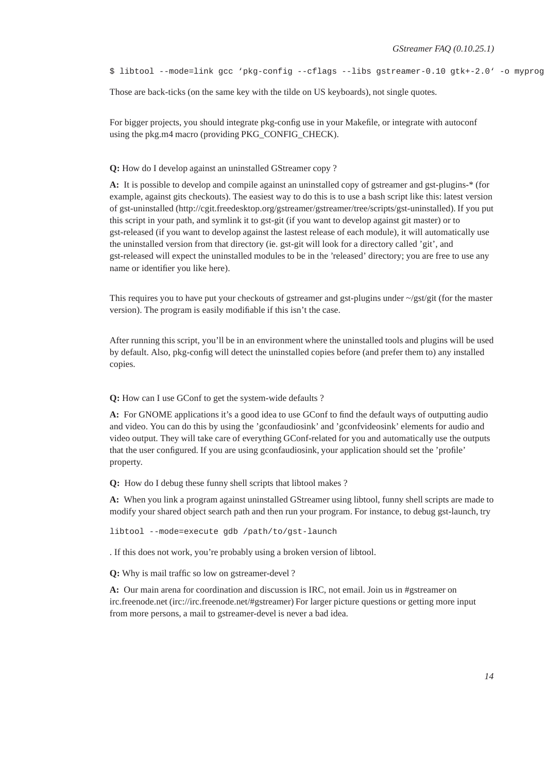\$ libtool --mode=link gcc 'pkg-config --cflags --libs gstreamer-0.10 gtk+-2.0' -o myprog

Those are back-ticks (on the same key with the tilde on US keyboards), not single quotes.

<span id="page-13-0"></span>For bigger projects, you should integrate pkg-config use in your Makefile, or integrate with autoconf using the pkg.m4 macro (providing PKG\_CONFIG\_CHECK).

#### **Q:** How do I develop against an uninstalled GStreamer copy ?

**A:** It is possible to develop and compile against an uninstalled copy of gstreamer and gst-plugins-\* (for example, against gits checkouts). The easiest way to do this is to use a bash script like this: latest version of gst-uninstalled (http://cgit.freedesktop.org/gstreamer/gstreamer/tree/scripts/gst-uninstalled). If you put this script in your path, and symlink it to gst-git (if you want to develop against git master) or to gst-released (if you want to develop against the lastest release of each module), it will automatically use the uninstalled version from that directory (ie. gst-git will look for a directory called 'git', and gst-released will expect the uninstalled modules to be in the 'released' directory; you are free to use any name or identifier you like here).

This requires you to have put your checkouts of gstreamer and gst-plugins under  $\sim$ /gst/git (for the master version). The program is easily modifiable if this isn't the case.

After running this script, you'll be in an environment where the uninstalled tools and plugins will be used by default. Also, pkg-config will detect the uninstalled copies before (and prefer them to) any installed copies.

**Q:** How can I use GConf to get the system-wide defaults ?

**A:** For GNOME applications it's a good idea to use GConf to find the default ways of outputting audio and video. You can do this by using the 'gconfaudiosink' and 'gconfvideosink' elements for audio and video output. They will take care of everything GConf-related for you and automatically use the outputs that the user configured. If you are using gconfaudiosink, your application should set the 'profile' property.

**Q:** How do I debug these funny shell scripts that libtool makes ?

**A:** When you link a program against uninstalled GStreamer using libtool, funny shell scripts are made to modify your shared object search path and then run your program. For instance, to debug gst-launch, try

libtool --mode=execute gdb /path/to/gst-launch

. If this does not work, you're probably using a broken version of libtool.

**Q:** Why is mail traffic so low on gstreamer-devel ?

**A:** Our main arena for coordination and discussion is IRC, not email. Join us in #gstreamer on irc.freenode.net (irc://irc.freenode.net/#gstreamer) For larger picture questions or getting more input from more persons, a mail to gstreamer-devel is never a bad idea.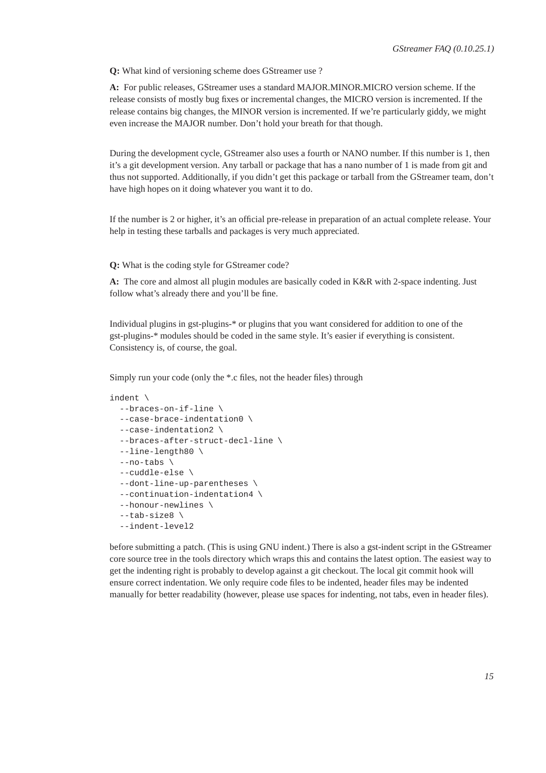**Q:** What kind of versioning scheme does GStreamer use ?

**A:** For public releases, GStreamer uses a standard MAJOR.MINOR.MICRO version scheme. If the release consists of mostly bug fixes or incremental changes, the MICRO version is incremented. If the release contains big changes, the MINOR version is incremented. If we're particularly giddy, we might even increase the MAJOR number. Don't hold your breath for that though.

During the development cycle, GStreamer also uses a fourth or NANO number. If this number is 1, then it's a git development version. Any tarball or package that has a nano number of 1 is made from git and thus not supported. Additionally, if you didn't get this package or tarball from the GStreamer team, don't have high hopes on it doing whatever you want it to do.

If the number is 2 or higher, it's an official pre-release in preparation of an actual complete release. Your help in testing these tarballs and packages is very much appreciated.

**Q:** What is the coding style for GStreamer code?

**A:** The core and almost all plugin modules are basically coded in K&R with 2-space indenting. Just follow what's already there and you'll be fine.

Individual plugins in gst-plugins-\* or plugins that you want considered for addition to one of the gst-plugins-\* modules should be coded in the same style. It's easier if everything is consistent. Consistency is, of course, the goal.

Simply run your code (only the \*.c files, not the header files) through

```
indent \
 --braces-on-if-line \
 --case-brace-indentation0 \
  --case-indentation2 \
  --braces-after-struct-decl-line \
  --line-length80 \
  --no-tabs \
  --cuddle-else \
  --dont-line-up-parentheses \
  --continuation-indentation4 \
  --honour-newlines \
  --tab-size8 \
  --indent-level2
```
before submitting a patch. (This is using GNU indent.) There is also a gst-indent script in the GStreamer core source tree in the tools directory which wraps this and contains the latest option. The easiest way to get the indenting right is probably to develop against a git checkout. The local git commit hook will ensure correct indentation. We only require code files to be indented, header files may be indented manually for better readability (however, please use spaces for indenting, not tabs, even in header files).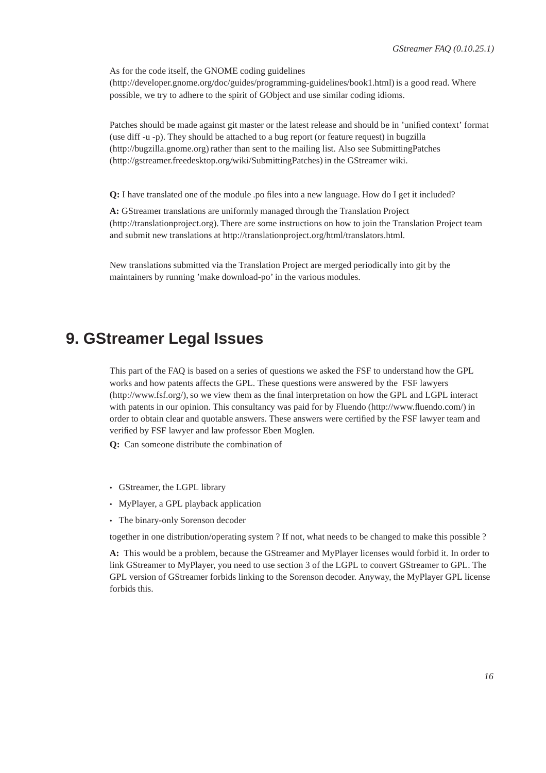As for the code itself, the GNOME coding guidelines (http://developer.gnome.org/doc/guides/programming-guidelines/book1.html) is a good read. Where possible, we try to adhere to the spirit of GObject and use similar coding idioms.

Patches should be made against git master or the latest release and should be in 'unified context' format (use diff -u -p). They should be attached to a bug report (or feature request) in bugzilla (http://bugzilla.gnome.org) rather than sent to the mailing list. Also see SubmittingPatches (http://gstreamer.freedesktop.org/wiki/SubmittingPatches) in the GStreamer wiki.

**Q:** I have translated one of the module .po files into a new language. How do I get it included?

**A:** GStreamer translations are uniformly managed through the Translation Project (http://translationproject.org). There are some instructions on how to join the Translation Project team and submit new translations at http://translationproject.org/html/translators.html.

New translations submitted via the Translation Project are merged periodically into git by the maintainers by running 'make download-po' in the various modules.

# **9. GStreamer Legal Issues**

This part of the FAQ is based on a series of questions we asked the FSF to understand how the GPL works and how patents affects the GPL. These questions were answered by the FSF lawyers (http://www.fsf.org/), so we view them as the final interpretation on how the GPL and LGPL interact with patents in our opinion. This consultancy was paid for by Fluendo (http://www.fluendo.com/) in order to obtain clear and quotable answers. These answers were certified by the FSF lawyer team and verified by FSF lawyer and law professor Eben Moglen.

**Q:** Can someone distribute the combination of

- GStreamer, the LGPL library
- MyPlayer, a GPL playback application
- The binary-only Sorenson decoder

together in one distribution/operating system ? If not, what needs to be changed to make this possible ?

**A:** This would be a problem, because the GStreamer and MyPlayer licenses would forbid it. In order to link GStreamer to MyPlayer, you need to use section 3 of the LGPL to convert GStreamer to GPL. The GPL version of GStreamer forbids linking to the Sorenson decoder. Anyway, the MyPlayer GPL license forbids this.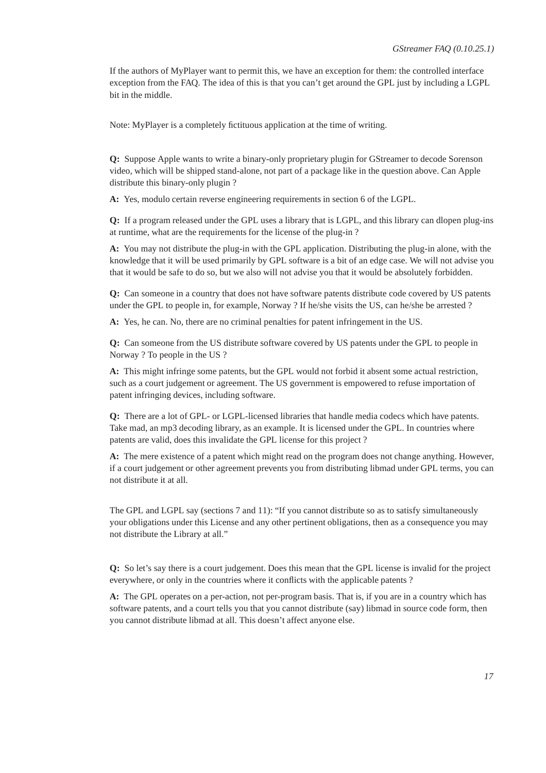If the authors of MyPlayer want to permit this, we have an exception for them: the controlled interface exception from the FAQ. The idea of this is that you can't get around the GPL just by including a LGPL bit in the middle.

Note: MyPlayer is a completely fictituous application at the time of writing.

**Q:** Suppose Apple wants to write a binary-only proprietary plugin for GStreamer to decode Sorenson video, which will be shipped stand-alone, not part of a package like in the question above. Can Apple distribute this binary-only plugin ?

**A:** Yes, modulo certain reverse engineering requirements in section 6 of the LGPL.

**Q:** If a program released under the GPL uses a library that is LGPL, and this library can dlopen plug-ins at runtime, what are the requirements for the license of the plug-in ?

**A:** You may not distribute the plug-in with the GPL application. Distributing the plug-in alone, with the knowledge that it will be used primarily by GPL software is a bit of an edge case. We will not advise you that it would be safe to do so, but we also will not advise you that it would be absolutely forbidden.

**Q:** Can someone in a country that does not have software patents distribute code covered by US patents under the GPL to people in, for example, Norway ? If he/she visits the US, can he/she be arrested ?

**A:** Yes, he can. No, there are no criminal penalties for patent infringement in the US.

**Q:** Can someone from the US distribute software covered by US patents under the GPL to people in Norway ? To people in the US ?

**A:** This might infringe some patents, but the GPL would not forbid it absent some actual restriction, such as a court judgement or agreement. The US government is empowered to refuse importation of patent infringing devices, including software.

**Q:** There are a lot of GPL- or LGPL-licensed libraries that handle media codecs which have patents. Take mad, an mp3 decoding library, as an example. It is licensed under the GPL. In countries where patents are valid, does this invalidate the GPL license for this project ?

**A:** The mere existence of a patent which might read on the program does not change anything. However, if a court judgement or other agreement prevents you from distributing libmad under GPL terms, you can not distribute it at all.

The GPL and LGPL say (sections 7 and 11): "If you cannot distribute so as to satisfy simultaneously your obligations under this License and any other pertinent obligations, then as a consequence you may not distribute the Library at all."

**Q:** So let's say there is a court judgement. Does this mean that the GPL license is invalid for the project everywhere, or only in the countries where it conflicts with the applicable patents ?

**A:** The GPL operates on a per-action, not per-program basis. That is, if you are in a country which has software patents, and a court tells you that you cannot distribute (say) libmad in source code form, then you cannot distribute libmad at all. This doesn't affect anyone else.